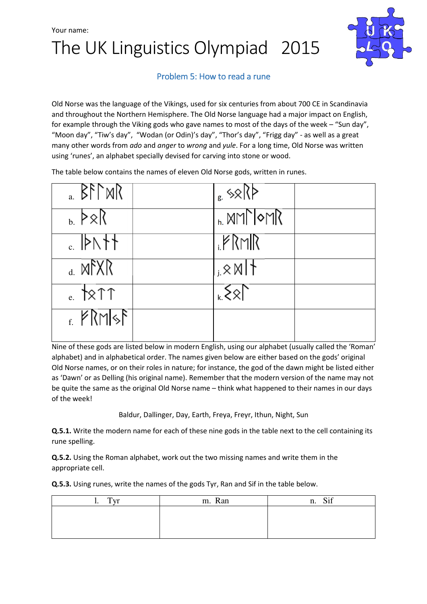## The UK Linguistics Olympiad 2015



### Problem 5: How to read a rune

Old Norse was the language of the Vikings, used for six centuries from about 700 CE in Scandinavia and throughout the Northern Hemisphere. The Old Norse language had a major impact on English, for example through the Viking gods who gave names to most of the days of the week – "Sun day", "Moon day", "Tiw's day", "Wodan (or Odin)'s day", "Thor's day", "Frigg day" - as well as a great many other words from ado and anger to wrong and yule. For a long time, Old Norse was written using 'runes', an alphabet specially devised for carving into stone or wood.

The table below contains the names of eleven Old Norse gods, written in runes.

| $_{a}$ $\beta$ f $\gamma$ MR          | $\frac{1}{8}$ \\\cdot \\cdot \\cdot \\cdot \\cdot \\cdot \\cdot \\cdot \\cdot \\cdot \\cdot \\cdot \\cdot \\cdot \\cdot \\cdot \\cdot \\cdot \\cdot \\cdot \\cdot \\cdot \\cdot \\cdot \\cdot \\cdot \\cdot \\cdot \\cdot \\cdot |  |
|---------------------------------------|----------------------------------------------------------------------------------------------------------------------------------------------------------------------------------------------------------------------------------|--|
| $_{\rm b}$ $\triangleright \times \.$ | $h_{\rm h}$ MM $\sim$ MR                                                                                                                                                                                                         |  |
| $\epsilon$ PN++                       | <b>FRMR</b>                                                                                                                                                                                                                      |  |
| $_4$ MFXR                             | $,8$ N   †                                                                                                                                                                                                                       |  |
| $_{e.}$ \2 $\uparrow$ \?              | $\sqrt{25}$                                                                                                                                                                                                                      |  |
| $\epsilon$ PRMSF                      |                                                                                                                                                                                                                                  |  |
|                                       |                                                                                                                                                                                                                                  |  |

Nine of these gods are listed below in modern English, using our alphabet (usually called the 'Roman' alphabet) and in alphabetical order. The names given below are either based on the gods' original Old Norse names, or on their roles in nature; for instance, the god of the dawn might be listed either as 'Dawn' or as Delling (his original name). Remember that the modern version of the name may not be quite the same as the original Old Norse name – think what happened to their names in our days of the week!

Baldur, Dallinger, Day, Earth, Freya, Freyr, Ithun, Night, Sun

**Q.5.1.** Write the modern name for each of these nine gods in the table next to the cell containing its rune spelling.

Q.5.2. Using the Roman alphabet, work out the two missing names and write them in the appropriate cell.

Q.5.3. Using runes, write the names of the gods Tyr, Ran and Sif in the table below.

| $T_{Vrr}$<br><b>1.</b> | m. Ran | Sif<br>n. |
|------------------------|--------|-----------|
|                        |        |           |
|                        |        |           |
|                        |        |           |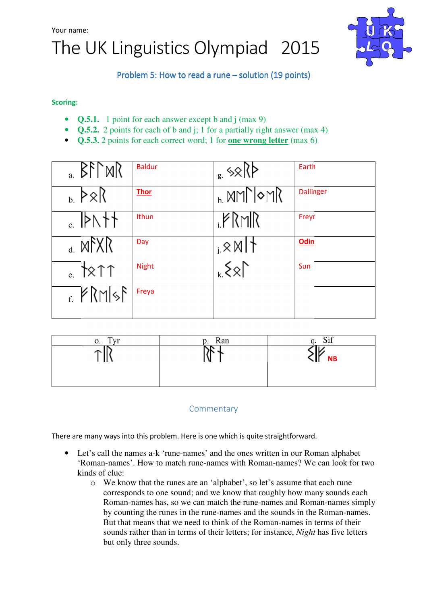



Problem 5: How to read a rune – solution (19 points)

#### Scoring:

- **Q.5.1.** 1 point for each answer except b and j (max 9)
- **Q.5.2.** 2 points for each of b and j; 1 for a partially right answer (max 4)
- **Q.5.3.** 2 points for each correct word; 1 for **one wrong letter** (max 6)

| $_{a}$ BFT MR                                                                                                                                                                                                                  | <b>Baldur</b> |                   | Earth            |
|--------------------------------------------------------------------------------------------------------------------------------------------------------------------------------------------------------------------------------|---------------|-------------------|------------------|
| $, \, \ge \ $                                                                                                                                                                                                                  | <b>Thor</b>   | , MMे ०MR         | <b>Dallinger</b> |
| $\mathsf{H}$                                                                                                                                                                                                                   | <b>Ithun</b>  | PRMR              | Freyr            |
| $d. M^2XR$                                                                                                                                                                                                                     | Day           | $,8$ M $\uparrow$ | <b>Odin</b>      |
| $_{e}$ \\times\text{ n \times\text{ n \times\text{ n \times\text{ n \times\text{ n \times\text{ n \times\text{ n \times\text{ n \times\text{ n \times\text{ n \times\text{ n \times\text{ n \times\text{ n \times\text{ n \tim | <b>Night</b>  | $\{8\}$           | Sun              |
| $f_{\rm f}$ $\approx$ RMsF                                                                                                                                                                                                     | Freya         |                   |                  |

| Tvr<br>О. | p. Ran | $\sim$ $\sim$ |
|-----------|--------|---------------|
|           |        |               |
|           |        | <b>NB</b>     |
|           |        |               |
|           |        |               |

### **Commentary**

There are many ways into this problem. Here is one which is quite straightforward.

- Let's call the names a-k 'rune-names' and the ones written in our Roman alphabet 'Roman-names'. How to match rune-names with Roman-names? We can look for two kinds of clue:
	- o We know that the runes are an 'alphabet', so let's assume that each rune corresponds to one sound; and we know that roughly how many sounds each Roman-names has, so we can match the rune-names and Roman-names simply by counting the runes in the rune-names and the sounds in the Roman-names. But that means that we need to think of the Roman-names in terms of their sounds rather than in terms of their letters; for instance, *Night* has five letters but only three sounds.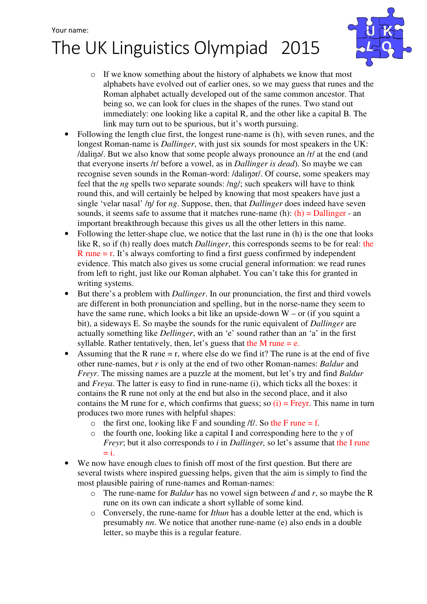# The UK Linguistics Olympiad 2015



- o If we know something about the history of alphabets we know that most alphabets have evolved out of earlier ones, so we may guess that runes and the Roman alphabet actually developed out of the same common ancestor. That being so, we can look for clues in the shapes of the runes. Two stand out immediately: one looking like a capital R, and the other like a capital B. The link may turn out to be spurious, but it's worth pursuing.
- Following the length clue first, the longest rune-name is (h), with seven runes, and the longest Roman-name is *Dallinger*, with just six sounds for most speakers in the UK: /daliŋə/. But we also know that some people always pronounce an /r/ at the end (and that everyone inserts /r/ before a vowel, as in *Dallinger is dead*). So maybe we can recognise seven sounds in the Roman-word: /daliŋər/. Of course, some speakers may feel that the *ng* spells two separate sounds: /ng/; such speakers will have to think round this, and will certainly be helped by knowing that most speakers have just a single 'velar nasal' /ŋ/ for *ng*. Suppose, then, that *Dallinger* does indeed have seven sounds, it seems safe to assume that it matches rune-name (h):  $(h)$  = Dallinger - an important breakthrough because this gives us all the other letters in this name.
- Following the letter-shape clue, we notice that the last rune in (h) is the one that looks like R, so if (h) really does match *Dallinger*, this corresponds seems to be for real: the  $R$  rune  $=$  r. It's always comforting to find a first guess confirmed by independent evidence. This match also gives us some crucial general information: we read runes from left to right, just like our Roman alphabet. You can't take this for granted in writing systems.
- But there's a problem with *Dallinger*. In our pronunciation, the first and third vowels are different in both pronunciation and spelling, but in the norse-name they seem to have the same rune, which looks a bit like an upside-down  $W - or$  (if you squint a bit), a sideways E. So maybe the sounds for the runic equivalent of *Dallinger* are actually something like *Dellinger*, with an 'e' sound rather than an 'a' in the first syllable. Rather tentatively, then, let's guess that the M rune  $= e$ .
- Assuming that the R rune  $=$  r, where else do we find it? The rune is at the end of five other rune-names, but *r* is only at the end of two other Roman-names: *Baldur* and *Freyr*. The missing names are a puzzle at the moment, but let's try and find *Baldur* and *Freya*. The latter is easy to find in rune-name (i), which ticks all the boxes: it contains the R rune not only at the end but also in the second place, and it also contains the M rune for e, which confirms that guess; so  $(i)$  = Freyr. This name in turn produces two more runes with helpful shapes:
	- $\circ$  the first one, looking like F and sounding /f/. So the F rune = f.
	- o the fourth one, looking like a capital I and corresponding here to the *y* of *Freyr*; but it also corresponds to *i* in *Dallinger*, so let's assume that the I rune  $=$  i.
- We now have enough clues to finish off most of the first question. But there are several twists where inspired guessing helps, given that the aim is simply to find the most plausible pairing of rune-names and Roman-names:
	- o The rune-name for *Baldur* has no vowel sign between *d* and *r*, so maybe the R rune on its own can indicate a short syllable of some kind.
	- o Conversely, the rune-name for *Ithun* has a double letter at the end, which is presumably *nn*. We notice that another rune-name (e) also ends in a double letter, so maybe this is a regular feature.